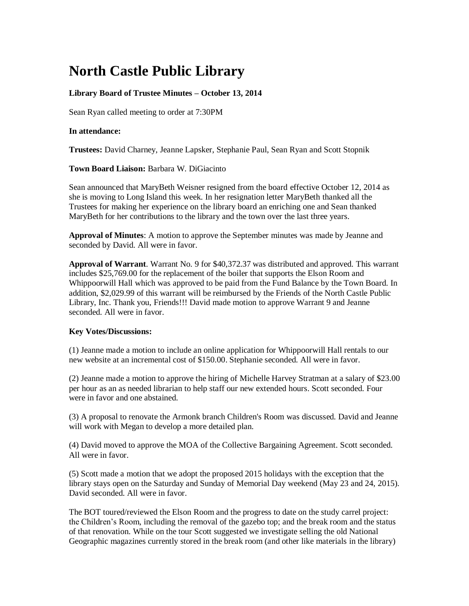## **North Castle Public Library**

## **Library Board of Trustee Minutes – October 13, 2014**

Sean Ryan called meeting to order at 7:30PM

## **In attendance:**

**Trustees:** David Charney, Jeanne Lapsker, Stephanie Paul, Sean Ryan and Scott Stopnik

**Town Board Liaison:** [Barbara W. DiGiacinto](http://www.northcastleny.com/users/bdigiacinto/contact)

Sean announced that MaryBeth Weisner resigned from the board effective October 12, 2014 as she is moving to Long Island this week. In her resignation letter MaryBeth thanked all the Trustees for making her experience on the library board an enriching one and Sean thanked MaryBeth for her contributions to the library and the town over the last three years.

**Approval of Minutes**: A motion to approve the September minutes was made by Jeanne and seconded by David. All were in favor.

**Approval of Warrant**. Warrant No. 9 for \$40,372.37 was distributed and approved. This warrant includes \$25,769.00 for the replacement of the boiler that supports the Elson Room and Whippoorwill Hall which was approved to be paid from the Fund Balance by the Town Board. In addition, \$2,029.99 of this warrant will be reimbursed by the Friends of the North Castle Public Library, Inc. Thank you, Friends!!! David made motion to approve Warrant 9 and Jeanne seconded. All were in favor.

## **Key Votes/Discussions:**

(1) Jeanne made a motion to include an online application for Whippoorwill Hall rentals to our new website at an incremental cost of \$150.00. Stephanie seconded. All were in favor.

(2) Jeanne made a motion to approve the hiring of Michelle Harvey Stratman at a salary of \$23.00 per hour as an as needed librarian to help staff our new extended hours. Scott seconded. Four were in favor and one abstained.

(3) A proposal to renovate the Armonk branch Children's Room was discussed. David and Jeanne will work with Megan to develop a more detailed plan.

(4) David moved to approve the MOA of the Collective Bargaining Agreement. Scott seconded. All were in favor.

(5) Scott made a motion that we adopt the proposed 2015 holidays with the exception that the library stays open on the Saturday and Sunday of Memorial Day weekend (May 23 and 24, 2015). David seconded. All were in favor.

The BOT toured/reviewed the Elson Room and the progress to date on the study carrel project: the Children's Room, including the removal of the gazebo top; and the break room and the status of that renovation. While on the tour Scott suggested we investigate selling the old National Geographic magazines currently stored in the break room (and other like materials in the library)